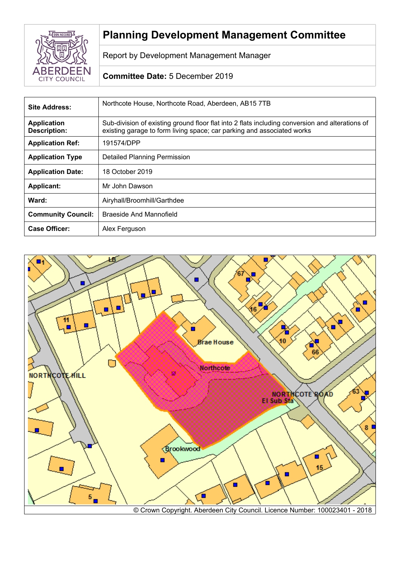

# **Planning Development Management Committee**

Report by Development Management Manager

# **Committee Date:** 5 December 2019

| Site Address:                             | Northcote House, Northcote Road, Aberdeen, AB15 7TB                                                                                                                       |  |
|-------------------------------------------|---------------------------------------------------------------------------------------------------------------------------------------------------------------------------|--|
| <b>Application</b><br><b>Description:</b> | Sub-division of existing ground floor flat into 2 flats including conversion and alterations of<br>existing garage to form living space; car parking and associated works |  |
| <b>Application Ref:</b>                   | 191574/DPP                                                                                                                                                                |  |
| <b>Application Type</b>                   | <b>Detailed Planning Permission</b>                                                                                                                                       |  |
| <b>Application Date:</b>                  | 18 October 2019                                                                                                                                                           |  |
| <b>Applicant:</b>                         | Mr John Dawson                                                                                                                                                            |  |
| Ward:                                     | Airyhall/Broomhill/Garthdee                                                                                                                                               |  |
| <b>Community Council:</b>                 | Braeside And Mannofield                                                                                                                                                   |  |
| <b>Case Officer:</b>                      | Alex Ferguson                                                                                                                                                             |  |

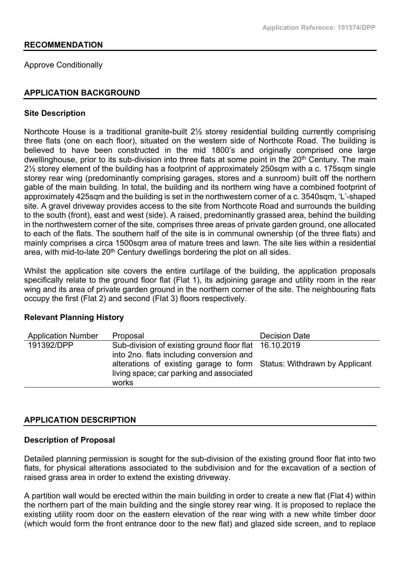## **RECOMMENDATION**

Approve Conditionally

## **APPLICATION BACKGROUND**

#### **Site Description**

Northcote House is a traditional granite-built 2½ storey residential building currently comprising three flats (one on each floor), situated on the western side of Northcote Road. The building is believed to have been constructed in the mid 1800's and originally comprised one large dwellinghouse, prior to its sub-division into three flats at some point in the 20<sup>th</sup> Century. The main 2½ storey element of the building has a footprint of approximately 250sqm with a c. 175sqm single storey rear wing (predominantly comprising garages, stores and a sunroom) built off the northern gable of the main building. In total, the building and its northern wing have a combined footprint of approximately 425sqm and the building is set in the northwestern corner of a c. 3540sqm, 'L'-shaped site. A gravel driveway provides access to the site from Northcote Road and surrounds the building to the south (front), east and west (side). A raised, predominantly grassed area, behind the building in the northwestern corner of the site, comprises three areas of private garden ground, one allocated to each of the flats. The southern half of the site is in communal ownership (of the three flats) and mainly comprises a circa 1500sqm area of mature trees and lawn. The site lies within a residential area, with mid-to-late 20<sup>th</sup> Century dwellings bordering the plot on all sides.

Whilst the application site covers the entire curtilage of the building, the application proposals specifically relate to the ground floor flat (Flat 1), its adjoining garage and utility room in the rear wing and its area of private garden ground in the northern corner of the site. The neighbouring flats occupy the first (Flat 2) and second (Flat 3) floors respectively.

# **Relevant Planning History**

| <b>Application Number</b> | Proposal                                                                                                                   | <b>Decision Date</b> |
|---------------------------|----------------------------------------------------------------------------------------------------------------------------|----------------------|
| 191392/DPP                | Sub-division of existing ground floor flat 16.10.2019<br>into 2no. flats including conversion and                          |                      |
|                           | alterations of existing garage to form Status: Withdrawn by Applicant<br>living space; car parking and associated<br>works |                      |

#### **APPLICATION DESCRIPTION**

#### **Description of Proposal**

Detailed planning permission is sought for the sub-division of the existing ground floor flat into two flats, for physical alterations associated to the subdivision and for the excavation of a section of raised grass area in order to extend the existing driveway.

A partition wall would be erected within the main building in order to create a new flat (Flat 4) within the northern part of the main building and the single storey rear wing. It is proposed to replace the existing utility room door on the eastern elevation of the rear wing with a new white timber door (which would form the front entrance door to the new flat) and glazed side screen, and to replace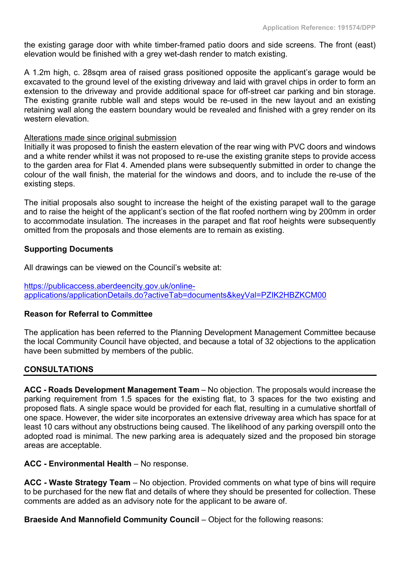the existing garage door with white timber-framed patio doors and side screens. The front (east) elevation would be finished with a grey wet-dash render to match existing.

A 1.2m high, c. 28sqm area of raised grass positioned opposite the applicant's garage would be excavated to the ground level of the existing driveway and laid with gravel chips in order to form an extension to the driveway and provide additional space for off-street car parking and bin storage. The existing granite rubble wall and steps would be re-used in the new layout and an existing retaining wall along the eastern boundary would be revealed and finished with a grey render on its western elevation.

## Alterations made since original submission

Initially it was proposed to finish the eastern elevation of the rear wing with PVC doors and windows and a white render whilst it was not proposed to re-use the existing granite steps to provide access to the garden area for Flat 4. Amended plans were subsequently submitted in order to change the colour of the wall finish, the material for the windows and doors, and to include the re-use of the existing steps.

The initial proposals also sought to increase the height of the existing parapet wall to the garage and to raise the height of the applicant's section of the flat roofed northern wing by 200mm in order to accommodate insulation. The increases in the parapet and flat roof heights were subsequently omitted from the proposals and those elements are to remain as existing.

# **Supporting Documents**

All drawings can be viewed on the Council's website at:

[https://publicaccess.aberdeencity.gov.uk/online](https://publicaccess.aberdeencity.gov.uk/online-applications/applicationDetails.do?activeTab=documents&keyVal=PZIK2HBZKCM00)[applications/applicationDetails.do?activeTab=documents&keyVal=PZIK2HBZKCM00](https://publicaccess.aberdeencity.gov.uk/online-applications/applicationDetails.do?activeTab=documents&keyVal=PZIK2HBZKCM00) 

# **Reason for Referral to Committee**

The application has been referred to the Planning Development Management Committee because the local Community Council have objected, and because a total of 32 objections to the application have been submitted by members of the public.

# **CONSULTATIONS**

**ACC - Roads Development Management Team** – No objection. The proposals would increase the parking requirement from 1.5 spaces for the existing flat, to 3 spaces for the two existing and proposed flats. A single space would be provided for each flat, resulting in a cumulative shortfall of one space. However, the wider site incorporates an extensive driveway area which has space for at least 10 cars without any obstructions being caused. The likelihood of any parking overspill onto the adopted road is minimal. The new parking area is adequately sized and the proposed bin storage areas are acceptable.

#### **ACC - Environmental Health** – No response.

**ACC - Waste Strategy Team** – No objection. Provided comments on what type of bins will require to be purchased for the new flat and details of where they should be presented for collection. These comments are added as an advisory note for the applicant to be aware of.

**Braeside And Mannofield Community Council** – Object for the following reasons: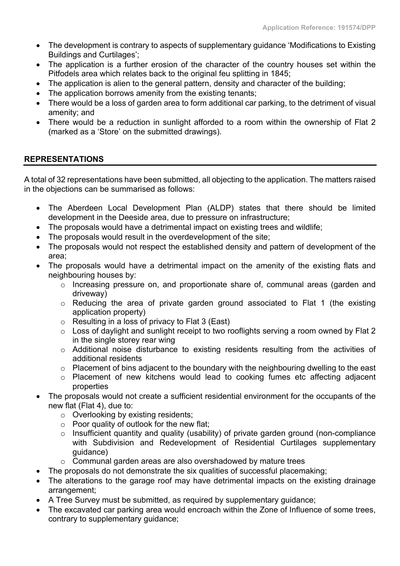- The development is contrary to aspects of supplementary guidance 'Modifications to Existing Buildings and Curtilages';
- The application is a further erosion of the character of the country houses set within the Pitfodels area which relates back to the original feu splitting in 1845;
- The application is alien to the general pattern, density and character of the building;
- The application borrows amenity from the existing tenants;
- There would be a loss of garden area to form additional car parking, to the detriment of visual amenity; and
- There would be a reduction in sunlight afforded to a room within the ownership of Flat 2 (marked as a 'Store' on the submitted drawings).

# **REPRESENTATIONS**

A total of 32 representations have been submitted, all objecting to the application. The matters raised in the objections can be summarised as follows:

- The Aberdeen Local Development Plan (ALDP) states that there should be limited development in the Deeside area, due to pressure on infrastructure;
- The proposals would have a detrimental impact on existing trees and wildlife;
- The proposals would result in the overdevelopment of the site;
- The proposals would not respect the established density and pattern of development of the area;
- The proposals would have a detrimental impact on the amenity of the existing flats and neighbouring houses by:
	- o Increasing pressure on, and proportionate share of, communal areas (garden and driveway)
	- o Reducing the area of private garden ground associated to Flat 1 (the existing application property)
	- o Resulting in a loss of privacy to Flat 3 (East)
	- o Loss of daylight and sunlight receipt to two rooflights serving a room owned by Flat 2 in the single storey rear wing
	- o Additional noise disturbance to existing residents resulting from the activities of additional residents
	- o Placement of bins adjacent to the boundary with the neighbouring dwelling to the east
	- o Placement of new kitchens would lead to cooking fumes etc affecting adjacent properties
- The proposals would not create a sufficient residential environment for the occupants of the new flat (Flat 4), due to:
	- o Overlooking by existing residents;
	- o Poor quality of outlook for the new flat;
	- o Insufficient quantity and quality (usability) of private garden ground (non-compliance with Subdivision and Redevelopment of Residential Curtilages supplementary guidance)
	- o Communal garden areas are also overshadowed by mature trees
- The proposals do not demonstrate the six qualities of successful placemaking;
- The alterations to the garage roof may have detrimental impacts on the existing drainage arrangement;
- A Tree Survey must be submitted, as required by supplementary guidance;
- The excavated car parking area would encroach within the Zone of Influence of some trees, contrary to supplementary guidance;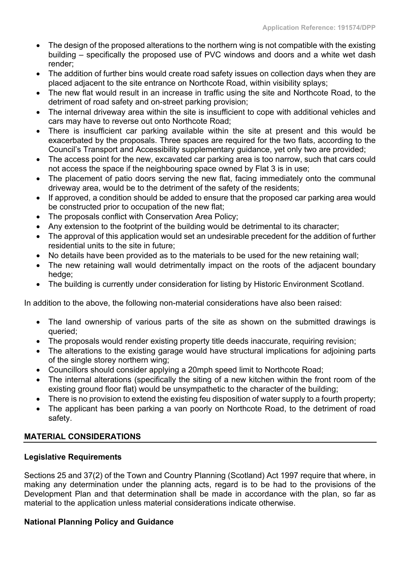- The design of the proposed alterations to the northern wing is not compatible with the existing building – specifically the proposed use of PVC windows and doors and a white wet dash render;
- The addition of further bins would create road safety issues on collection days when they are placed adjacent to the site entrance on Northcote Road, within visibility splays;
- The new flat would result in an increase in traffic using the site and Northcote Road, to the detriment of road safety and on-street parking provision;
- The internal driveway area within the site is insufficient to cope with additional vehicles and cars may have to reverse out onto Northcote Road;
- There is insufficient car parking available within the site at present and this would be exacerbated by the proposals. Three spaces are required for the two flats, according to the Council's Transport and Accessibility supplementary guidance, yet only two are provided;
- The access point for the new, excavated car parking area is too narrow, such that cars could not access the space if the neighbouring space owned by Flat 3 is in use;
- The placement of patio doors serving the new flat, facing immediately onto the communal driveway area, would be to the detriment of the safety of the residents;
- If approved, a condition should be added to ensure that the proposed car parking area would be constructed prior to occupation of the new flat;
- The proposals conflict with Conservation Area Policy;
- Any extension to the footprint of the building would be detrimental to its character;
- The approval of this application would set an undesirable precedent for the addition of further residential units to the site in future;
- No details have been provided as to the materials to be used for the new retaining wall:
- The new retaining wall would detrimentally impact on the roots of the adjacent boundary hedge;
- The building is currently under consideration for listing by Historic Environment Scotland.

In addition to the above, the following non-material considerations have also been raised:

- The land ownership of various parts of the site as shown on the submitted drawings is queried;
- The proposals would render existing property title deeds inaccurate, requiring revision;
- The alterations to the existing garage would have structural implications for adjoining parts of the single storey northern wing;
- Councillors should consider applying a 20mph speed limit to Northcote Road;
- The internal alterations (specifically the siting of a new kitchen within the front room of the existing ground floor flat) would be unsympathetic to the character of the building;
- There is no provision to extend the existing feu disposition of water supply to a fourth property;
- The applicant has been parking a van poorly on Northcote Road, to the detriment of road safety.

# **MATERIAL CONSIDERATIONS**

# **Legislative Requirements**

Sections 25 and 37(2) of the Town and Country Planning (Scotland) Act 1997 require that where, in making any determination under the planning acts, regard is to be had to the provisions of the Development Plan and that determination shall be made in accordance with the plan, so far as material to the application unless material considerations indicate otherwise.

# **National Planning Policy and Guidance**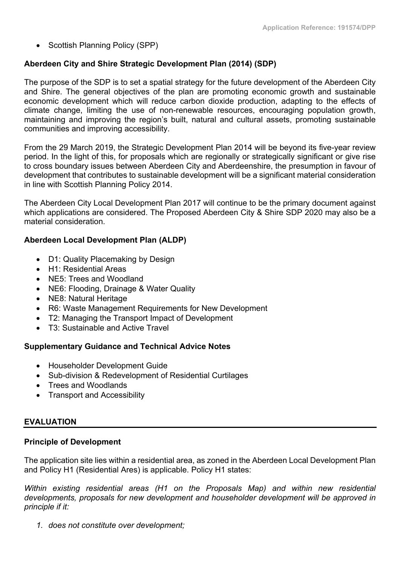• Scottish Planning Policy (SPP)

# **Aberdeen City and Shire Strategic Development Plan (2014) (SDP)**

The purpose of the SDP is to set a spatial strategy for the future development of the Aberdeen City and Shire. The general objectives of the plan are promoting economic growth and sustainable economic development which will reduce carbon dioxide production, adapting to the effects of climate change, limiting the use of non-renewable resources, encouraging population growth, maintaining and improving the region's built, natural and cultural assets, promoting sustainable communities and improving accessibility.

From the 29 March 2019, the Strategic Development Plan 2014 will be beyond its five-year review period. In the light of this, for proposals which are regionally or strategically significant or give rise to cross boundary issues between Aberdeen City and Aberdeenshire, the presumption in favour of development that contributes to sustainable development will be a significant material consideration in line with Scottish Planning Policy 2014.

The Aberdeen City Local Development Plan 2017 will continue to be the primary document against which applications are considered. The Proposed Aberdeen City & Shire SDP 2020 may also be a material consideration.

# **Aberdeen Local Development Plan (ALDP)**

- D1: Quality Placemaking by Design
- H1: Residential Areas
- NE5: Trees and Woodland
- NE6: Flooding, Drainage & Water Quality
- NE8: Natural Heritage
- R6: Waste Management Requirements for New Development
- T2: Managing the Transport Impact of Development
- T3: Sustainable and Active Travel

# **Supplementary Guidance and Technical Advice Notes**

- Householder Development Guide
- Sub-division & Redevelopment of Residential Curtilages
- Trees and Woodlands
- Transport and Accessibility

# **EVALUATION**

# **Principle of Development**

The application site lies within a residential area, as zoned in the Aberdeen Local Development Plan and Policy H1 (Residential Ares) is applicable. Policy H1 states:

*Within existing residential areas (H1 on the Proposals Map) and within new residential developments, proposals for new development and householder development will be approved in principle if it:*

*1. does not constitute over development;*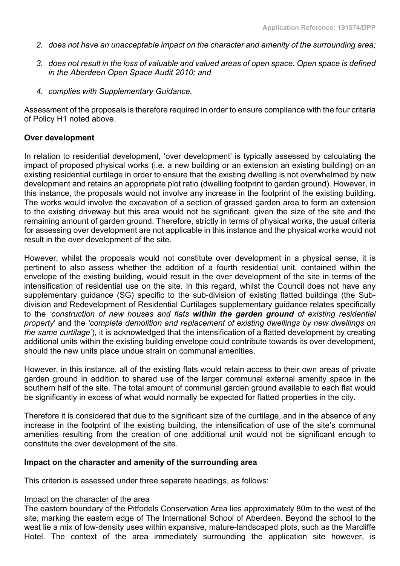- *2. does not have an unacceptable impact on the character and amenity of the surrounding area;*
- 3. does not result in the loss of valuable and valued areas of open space. Open space is defined *in the Aberdeen Open Space Audit 2010; and*
- *4. complies with Supplementary Guidance.*

Assessment of the proposals is therefore required in order to ensure compliance with the four criteria of Policy H1 noted above.

## **Over development**

In relation to residential development, 'over development' is typically assessed by calculating the impact of proposed physical works (i.e. a new building or an extension an existing building) on an existing residential curtilage in order to ensure that the existing dwelling is not overwhelmed by new development and retains an appropriate plot ratio (dwelling footprint to garden ground). However, in this instance, the proposals would not involve any increase in the footprint of the existing building. The works would involve the excavation of a section of grassed garden area to form an extension to the existing driveway but this area would not be significant, given the size of the site and the remaining amount of garden ground. Therefore, strictly in terms of physical works, the usual criteria for assessing over development are not applicable in this instance and the physical works would not result in the over development of the site.

However, whilst the proposals would not constitute over development in a physical sense, it is pertinent to also assess whether the addition of a fourth residential unit, contained within the envelope of the existing building, would result in the over development of the site in terms of the intensification of residential use on the site. In this regard, whilst the Council does not have any supplementary guidance (SG) specific to the sub-division of existing flatted buildings (the Subdivision and Redevelopment of Residential Curtilages supplementary guidance relates specifically to the *'construction of new houses and flats within the garden ground of existing residential property*' and the *'complete demolition and replacement of existing dwellings by new dwellings on the same curtilage'*), it is acknowledged that the intensification of a flatted development by creating additional units within the existing building envelope could contribute towards its over development, should the new units place undue strain on communal amenities.

However, in this instance, all of the existing flats would retain access to their own areas of private garden ground in addition to shared use of the larger communal external amenity space in the southern half of the site. The total amount of communal garden ground available to each flat would be significantly in excess of what would normally be expected for flatted properties in the city.

Therefore it is considered that due to the significant size of the curtilage, and in the absence of any increase in the footprint of the existing building, the intensification of use of the site's communal amenities resulting from the creation of one additional unit would not be significant enough to constitute the over development of the site.

#### **Impact on the character and amenity of the surrounding area**

This criterion is assessed under three separate headings, as follows:

#### Impact on the character of the area

The eastern boundary of the Pitfodels Conservation Area lies approximately 80m to the west of the site, marking the eastern edge of The International School of Aberdeen. Beyond the school to the west lie a mix of low-density uses within expansive, mature-landscaped plots, such as the Marcliffe Hotel. The context of the area immediately surrounding the application site however, is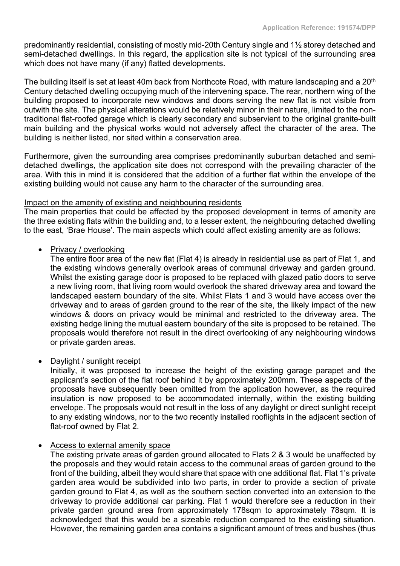predominantly residential, consisting of mostly mid-20th Century single and 1½ storey detached and semi-detached dwellings. In this regard, the application site is not typical of the surrounding area which does not have many (if any) flatted developments.

The building itself is set at least 40m back from Northcote Road, with mature landscaping and a 20<sup>th</sup> Century detached dwelling occupying much of the intervening space. The rear, northern wing of the building proposed to incorporate new windows and doors serving the new flat is not visible from outwith the site. The physical alterations would be relatively minor in their nature, limited to the nontraditional flat-roofed garage which is clearly secondary and subservient to the original granite-built main building and the physical works would not adversely affect the character of the area. The building is neither listed, nor sited within a conservation area.

Furthermore, given the surrounding area comprises predominantly suburban detached and semidetached dwellings, the application site does not correspond with the prevailing character of the area. With this in mind it is considered that the addition of a further flat within the envelope of the existing building would not cause any harm to the character of the surrounding area.

# Impact on the amenity of existing and neighbouring residents

The main properties that could be affected by the proposed development in terms of amenity are the three existing flats within the building and, to a lesser extent, the neighbouring detached dwelling to the east, 'Brae House'. The main aspects which could affect existing amenity are as follows:

# Privacy / overlooking

The entire floor area of the new flat (Flat 4) is already in residential use as part of Flat 1, and the existing windows generally overlook areas of communal driveway and garden ground. Whilst the existing garage door is proposed to be replaced with glazed patio doors to serve a new living room, that living room would overlook the shared driveway area and toward the landscaped eastern boundary of the site. Whilst Flats 1 and 3 would have access over the driveway and to areas of garden ground to the rear of the site, the likely impact of the new windows & doors on privacy would be minimal and restricted to the driveway area. The existing hedge lining the mutual eastern boundary of the site is proposed to be retained. The proposals would therefore not result in the direct overlooking of any neighbouring windows or private garden areas.

# • Daylight / sunlight receipt

Initially, it was proposed to increase the height of the existing garage parapet and the applicant's section of the flat roof behind it by approximately 200mm. These aspects of the proposals have subsequently been omitted from the application however, as the required insulation is now proposed to be accommodated internally, within the existing building envelope. The proposals would not result in the loss of any daylight or direct sunlight receipt to any existing windows, nor to the two recently installed rooflights in the adjacent section of flat-roof owned by Flat 2.

#### Access to external amenity space

The existing private areas of garden ground allocated to Flats 2 & 3 would be unaffected by the proposals and they would retain access to the communal areas of garden ground to the front of the building, albeit they would share that space with one additional flat. Flat 1's private garden area would be subdivided into two parts, in order to provide a section of private garden ground to Flat 4, as well as the southern section converted into an extension to the driveway to provide additional car parking. Flat 1 would therefore see a reduction in their private garden ground area from approximately 178sqm to approximately 78sqm. It is acknowledged that this would be a sizeable reduction compared to the existing situation. However, the remaining garden area contains a significant amount of trees and bushes (thus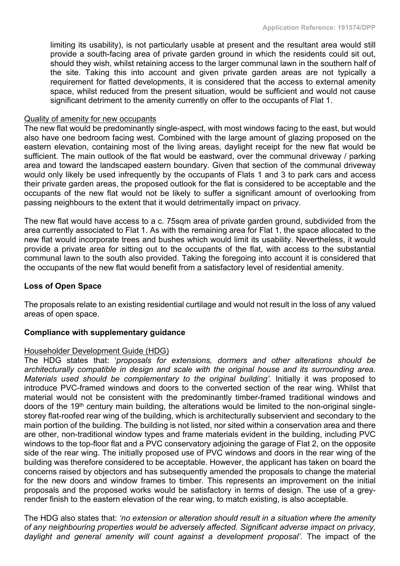limiting its usability), is not particularly usable at present and the resultant area would still provide a south-facing area of private garden ground in which the residents could sit out, should they wish, whilst retaining access to the larger communal lawn in the southern half of the site. Taking this into account and given private garden areas are not typically a requirement for flatted developments, it is considered that the access to external amenity space, whilst reduced from the present situation, would be sufficient and would not cause significant detriment to the amenity currently on offer to the occupants of Flat 1.

#### Quality of amenity for new occupants

The new flat would be predominantly single-aspect, with most windows facing to the east, but would also have one bedroom facing west. Combined with the large amount of glazing proposed on the eastern elevation, containing most of the living areas, daylight receipt for the new flat would be sufficient. The main outlook of the flat would be eastward, over the communal driveway / parking area and toward the landscaped eastern boundary. Given that section of the communal driveway would only likely be used infrequently by the occupants of Flats 1 and 3 to park cars and access their private garden areas, the proposed outlook for the flat is considered to be acceptable and the occupants of the new flat would not be likely to suffer a significant amount of overlooking from passing neighbours to the extent that it would detrimentally impact on privacy.

The new flat would have access to a c. 75sqm area of private garden ground, subdivided from the area currently associated to Flat 1. As with the remaining area for Flat 1, the space allocated to the new flat would incorporate trees and bushes which would limit its usability. Nevertheless, it would provide a private area for sitting out to the occupants of the flat, with access to the substantial communal lawn to the south also provided. Taking the foregoing into account it is considered that the occupants of the new flat would benefit from a satisfactory level of residential amenity.

## **Loss of Open Space**

The proposals relate to an existing residential curtilage and would not result in the loss of any valued areas of open space.

#### **Compliance with supplementary guidance**

#### Householder Development Guide (HDG)

The HDG states that: '*proposals for extensions, dormers and other alterations should be architecturally compatible in design and scale with the original house and its surrounding area. Materials used should be complementary to the original building'.* Initially it was proposed to introduce PVC-framed windows and doors to the converted section of the rear wing. Whilst that material would not be consistent with the predominantly timber-framed traditional windows and doors of the 19th century main building, the alterations would be limited to the non-original singlestorey flat-roofed rear wing of the building, which is architecturally subservient and secondary to the main portion of the building. The building is not listed, nor sited within a conservation area and there are other, non-traditional window types and frame materials evident in the building, including PVC windows to the top-floor flat and a PVC conservatory adjoining the garage of Flat 2, on the opposite side of the rear wing. The initially proposed use of PVC windows and doors in the rear wing of the building was therefore considered to be acceptable. However, the applicant has taken on board the concerns raised by objectors and has subsequently amended the proposals to change the material for the new doors and window frames to timber. This represents an improvement on the initial proposals and the proposed works would be satisfactory in terms of design. The use of a greyrender finish to the eastern elevation of the rear wing, to match existing, is also acceptable.

The HDG also states that: *'no extension or alteration should result in a situation where the amenity of any neighbouring properties would be adversely affected. Significant adverse impact on privacy, daylight and general amenity will count against a development proposal'.* The impact of the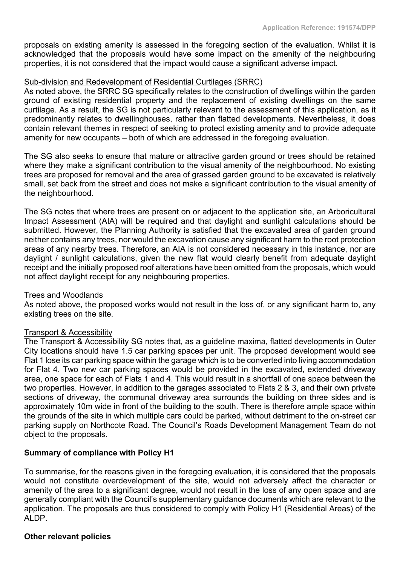proposals on existing amenity is assessed in the foregoing section of the evaluation. Whilst it is acknowledged that the proposals would have some impact on the amenity of the neighbouring properties, it is not considered that the impact would cause a significant adverse impact.

## Sub-division and Redevelopment of Residential Curtilages (SRRC)

As noted above, the SRRC SG specifically relates to the construction of dwellings within the garden ground of existing residential property and the replacement of existing dwellings on the same curtilage. As a result, the SG is not particularly relevant to the assessment of this application, as it predominantly relates to dwellinghouses, rather than flatted developments. Nevertheless, it does contain relevant themes in respect of seeking to protect existing amenity and to provide adequate amenity for new occupants – both of which are addressed in the foregoing evaluation.

The SG also seeks to ensure that mature or attractive garden ground or trees should be retained where they make a significant contribution to the visual amenity of the neighbourhood. No existing trees are proposed for removal and the area of grassed garden ground to be excavated is relatively small, set back from the street and does not make a significant contribution to the visual amenity of the neighbourhood.

The SG notes that where trees are present on or adjacent to the application site, an Arboricultural Impact Assessment (AIA) will be required and that daylight and sunlight calculations should be submitted. However, the Planning Authority is satisfied that the excavated area of garden ground neither contains any trees, nor would the excavation cause any significant harm to the root protection areas of any nearby trees. Therefore, an AIA is not considered necessary in this instance, nor are daylight / sunlight calculations, given the new flat would clearly benefit from adequate daylight receipt and the initially proposed roof alterations have been omitted from the proposals, which would not affect daylight receipt for any neighbouring properties.

#### Trees and Woodlands

As noted above, the proposed works would not result in the loss of, or any significant harm to, any existing trees on the site.

#### Transport & Accessibility

The Transport & Accessibility SG notes that, as a guideline maxima, flatted developments in Outer City locations should have 1.5 car parking spaces per unit. The proposed development would see Flat 1 lose its car parking space within the garage which is to be converted into living accommodation for Flat 4. Two new car parking spaces would be provided in the excavated, extended driveway area, one space for each of Flats 1 and 4. This would result in a shortfall of one space between the two properties. However, in addition to the garages associated to Flats 2 & 3, and their own private sections of driveway, the communal driveway area surrounds the building on three sides and is approximately 10m wide in front of the building to the south. There is therefore ample space within the grounds of the site in which multiple cars could be parked, without detriment to the on-street car parking supply on Northcote Road. The Council's Roads Development Management Team do not object to the proposals.

#### **Summary of compliance with Policy H1**

To summarise, for the reasons given in the foregoing evaluation, it is considered that the proposals would not constitute overdevelopment of the site, would not adversely affect the character or amenity of the area to a significant degree, would not result in the loss of any open space and are generally compliant with the Council's supplementary guidance documents which are relevant to the application. The proposals are thus considered to comply with Policy H1 (Residential Areas) of the ALDP.

#### **Other relevant policies**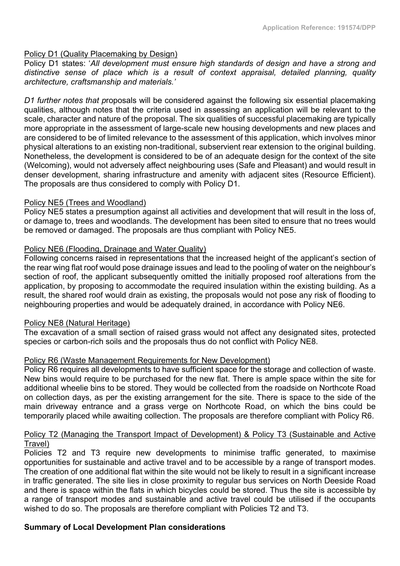## Policy D1 (Quality Placemaking by Design)

Policy D1 states: '*All development must ensure high standards of design and have a strong and distinctive sense of place which is a result of context appraisal, detailed planning, quality architecture, craftsmanship and materials.'*

*D1 further notes that p*roposals will be considered against the following six essential placemaking qualities, although notes that the criteria used in assessing an application will be relevant to the scale, character and nature of the proposal. The six qualities of successful placemaking are typically more appropriate in the assessment of large-scale new housing developments and new places and are considered to be of limited relevance to the assessment of this application, which involves minor physical alterations to an existing non-traditional, subservient rear extension to the original building. Nonetheless, the development is considered to be of an adequate design for the context of the site (Welcoming), would not adversely affect neighbouring uses (Safe and Pleasant) and would result in denser development, sharing infrastructure and amenity with adjacent sites (Resource Efficient). The proposals are thus considered to comply with Policy D1.

## Policy NE5 (Trees and Woodland)

Policy NE5 states a presumption against all activities and development that will result in the loss of, or damage to, trees and woodlands. The development has been sited to ensure that no trees would be removed or damaged. The proposals are thus compliant with Policy NE5.

## Policy NE6 (Flooding, Drainage and Water Quality)

Following concerns raised in representations that the increased height of the applicant's section of the rear wing flat roof would pose drainage issues and lead to the pooling of water on the neighbour's section of roof, the applicant subsequently omitted the initially proposed roof alterations from the application, by proposing to accommodate the required insulation within the existing building. As a result, the shared roof would drain as existing, the proposals would not pose any risk of flooding to neighbouring properties and would be adequately drained, in accordance with Policy NE6.

#### Policy NE8 (Natural Heritage)

The excavation of a small section of raised grass would not affect any designated sites, protected species or carbon-rich soils and the proposals thus do not conflict with Policy NE8.

#### Policy R6 (Waste Management Requirements for New Development)

Policy R6 requires all developments to have sufficient space for the storage and collection of waste. New bins would require to be purchased for the new flat. There is ample space within the site for additional wheelie bins to be stored. They would be collected from the roadside on Northcote Road on collection days, as per the existing arrangement for the site. There is space to the side of the main driveway entrance and a grass verge on Northcote Road, on which the bins could be temporarily placed while awaiting collection. The proposals are therefore compliant with Policy R6.

# Policy T2 (Managing the Transport Impact of Development) & Policy T3 (Sustainable and Active Travel)

Policies T2 and T3 require new developments to minimise traffic generated, to maximise opportunities for sustainable and active travel and to be accessible by a range of transport modes. The creation of one additional flat within the site would not be likely to result in a significant increase in traffic generated. The site lies in close proximity to regular bus services on North Deeside Road and there is space within the flats in which bicycles could be stored. Thus the site is accessible by a range of transport modes and sustainable and active travel could be utilised if the occupants wished to do so. The proposals are therefore compliant with Policies T2 and T3.

# **Summary of Local Development Plan considerations**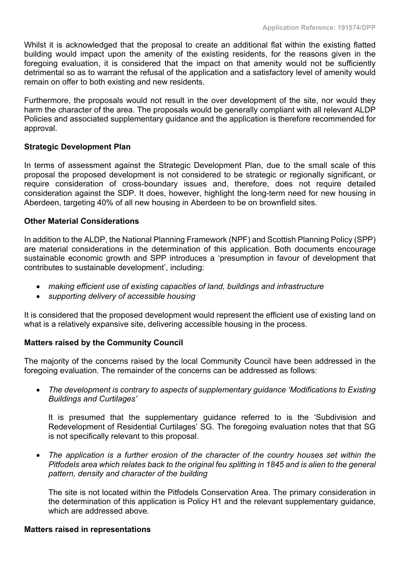Whilst it is acknowledged that the proposal to create an additional flat within the existing flatted building would impact upon the amenity of the existing residents, for the reasons given in the foregoing evaluation, it is considered that the impact on that amenity would not be sufficiently detrimental so as to warrant the refusal of the application and a satisfactory level of amenity would remain on offer to both existing and new residents.

Furthermore, the proposals would not result in the over development of the site, nor would they harm the character of the area. The proposals would be generally compliant with all relevant ALDP Policies and associated supplementary guidance and the application is therefore recommended for approval.

# **Strategic Development Plan**

In terms of assessment against the Strategic Development Plan, due to the small scale of this proposal the proposed development is not considered to be strategic or regionally significant, or require consideration of cross-boundary issues and, therefore, does not require detailed consideration against the SDP. It does, however, highlight the long-term need for new housing in Aberdeen, targeting 40% of all new housing in Aberdeen to be on brownfield sites.

## **Other Material Considerations**

In addition to the ALDP, the National Planning Framework (NPF) and Scottish Planning Policy (SPP) are material considerations in the determination of this application. Both documents encourage sustainable economic growth and SPP introduces a 'presumption in favour of development that contributes to sustainable development', including:

- *making efficient use of existing capacities of land, buildings and infrastructure*
- *supporting delivery of accessible housing*

It is considered that the proposed development would represent the efficient use of existing land on what is a relatively expansive site, delivering accessible housing in the process.

# **Matters raised by the Community Council**

The majority of the concerns raised by the local Community Council have been addressed in the foregoing evaluation. The remainder of the concerns can be addressed as follows:

 *The development is contrary to aspects of supplementary guidance 'Modifications to Existing Buildings and Curtilages'*

It is presumed that the supplementary guidance referred to is the 'Subdivision and Redevelopment of Residential Curtilages' SG. The foregoing evaluation notes that that SG is not specifically relevant to this proposal.

 *The application is a further erosion of the character of the country houses set within the* Pitfodels area which relates back to the original feu splitting in 1845 and is alien to the general *pattern, density and character of the building*

The site is not located within the Pitfodels Conservation Area. The primary consideration in the determination of this application is Policy H1 and the relevant supplementary guidance, which are addressed above.

#### **Matters raised in representations**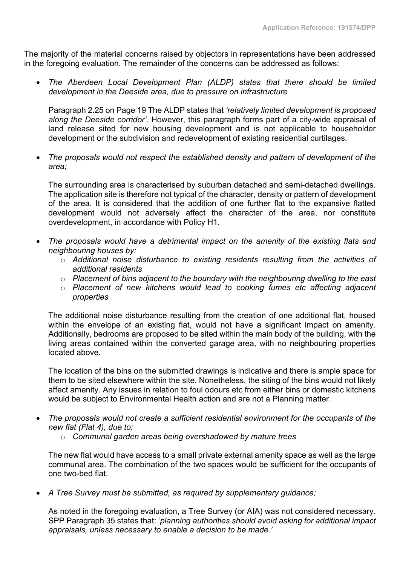The majority of the material concerns raised by objectors in representations have been addressed in the foregoing evaluation. The remainder of the concerns can be addressed as follows:

 *The Aberdeen Local Development Plan (ALDP) states that there should be limited development in the Deeside area, due to pressure on infrastructure*

Paragraph 2.25 on Page 19 The ALDP states that *'relatively limited development is proposed along the Deeside corridor'*. However, this paragraph forms part of a city-wide appraisal of land release sited for new housing development and is not applicable to householder development or the subdivision and redevelopment of existing residential curtilages.

 *The proposals would not respect the established density and pattern of development of the area;*

The surrounding area is characterised by suburban detached and semi-detached dwellings. The application site is therefore not typical of the character, density or pattern of development of the area. It is considered that the addition of one further flat to the expansive flatted development would not adversely affect the character of the area, nor constitute overdevelopment, in accordance with Policy H1.

- *The proposals would have a detrimental impact on the amenity of the existing flats and neighbouring houses by:*
	- o *Additional noise disturbance to existing residents resulting from the activities of additional residents*
	- o *Placement of bins adjacent to the boundary with the neighbouring dwelling to the east*
	- o *Placement of new kitchens would lead to cooking fumes etc affecting adjacent properties*

The additional noise disturbance resulting from the creation of one additional flat, housed within the envelope of an existing flat, would not have a significant impact on amenity. Additionally, bedrooms are proposed to be sited within the main body of the building, with the living areas contained within the converted garage area, with no neighbouring properties located above.

The location of the bins on the submitted drawings is indicative and there is ample space for them to be sited elsewhere within the site. Nonetheless, the siting of the bins would not likely affect amenity. Any issues in relation to foul odours etc from either bins or domestic kitchens would be subject to Environmental Health action and are not a Planning matter.

- *The proposals would not create a sufficient residential environment for the occupants of the new flat (Flat 4), due to:*
	- o *Communal garden areas being overshadowed by mature trees*

The new flat would have access to a small private external amenity space as well as the large communal area. The combination of the two spaces would be sufficient for the occupants of one two-bed flat.

*A Tree Survey must be submitted, as required by supplementary guidance;*

As noted in the foregoing evaluation, a Tree Survey (or AIA) was not considered necessary. SPP Paragraph 35 states that: '*planning authorities should avoid asking for additional impact appraisals, unless necessary to enable a decision to be made.'*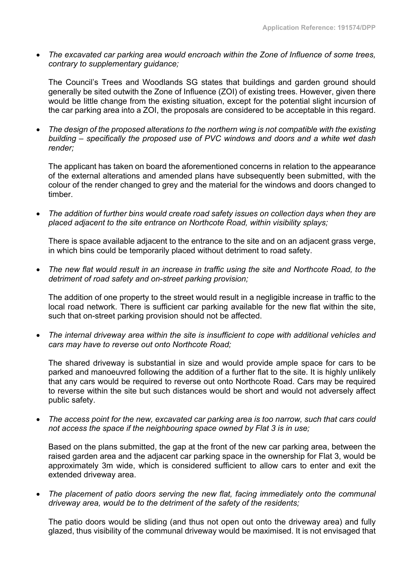*The excavated car parking area would encroach within the Zone of Influence of some trees, contrary to supplementary guidance;*

The Council's Trees and Woodlands SG states that buildings and garden ground should generally be sited outwith the Zone of Influence (ZOI) of existing trees. However, given there would be little change from the existing situation, except for the potential slight incursion of the car parking area into a ZOI, the proposals are considered to be acceptable in this regard.

 *The design of the proposed alterations to the northern wing is not compatible with the existing building – specifically the proposed use of PVC windows and doors and a white wet dash render;*

The applicant has taken on board the aforementioned concerns in relation to the appearance of the external alterations and amended plans have subsequently been submitted, with the colour of the render changed to grey and the material for the windows and doors changed to timber.

 *The addition of further bins would create road safety issues on collection days when they are placed adjacent to the site entrance on Northcote Road, within visibility splays;*

There is space available adjacent to the entrance to the site and on an adjacent grass verge, in which bins could be temporarily placed without detriment to road safety.

 *The new flat would result in an increase in traffic using the site and Northcote Road, to the detriment of road safety and on-street parking provision;*

The addition of one property to the street would result in a negligible increase in traffic to the local road network. There is sufficient car parking available for the new flat within the site, such that on-street parking provision should not be affected.

 *The internal driveway area within the site is insufficient to cope with additional vehicles and cars may have to reverse out onto Northcote Road;*

The shared driveway is substantial in size and would provide ample space for cars to be parked and manoeuvred following the addition of a further flat to the site. It is highly unlikely that any cars would be required to reverse out onto Northcote Road. Cars may be required to reverse within the site but such distances would be short and would not adversely affect public safety.

 *The access point for the new, excavated car parking area is too narrow, such that cars could not access the space if the neighbouring space owned by Flat 3 is in use;*

Based on the plans submitted, the gap at the front of the new car parking area, between the raised garden area and the adjacent car parking space in the ownership for Flat 3, would be approximately 3m wide, which is considered sufficient to allow cars to enter and exit the extended driveway area.

 *The placement of patio doors serving the new flat, facing immediately onto the communal driveway area, would be to the detriment of the safety of the residents;*

The patio doors would be sliding (and thus not open out onto the driveway area) and fully glazed, thus visibility of the communal driveway would be maximised. It is not envisaged that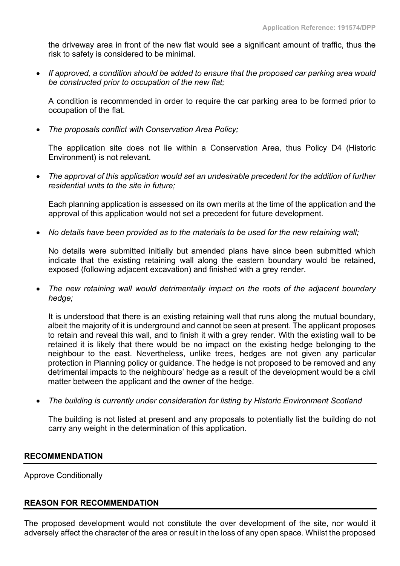the driveway area in front of the new flat would see a significant amount of traffic, thus the risk to safety is considered to be minimal.

 *If approved, a condition should be added to ensure that the proposed car parking area would be constructed prior to occupation of the new flat;*

A condition is recommended in order to require the car parking area to be formed prior to occupation of the flat.

*The proposals conflict with Conservation Area Policy;*

The application site does not lie within a Conservation Area, thus Policy D4 (Historic Environment) is not relevant.

 *The approval of this application would set an undesirable precedent for the addition of further residential units to the site in future;*

Each planning application is assessed on its own merits at the time of the application and the approval of this application would not set a precedent for future development.

*No details have been provided as to the materials to be used for the new retaining wall;*

No details were submitted initially but amended plans have since been submitted which indicate that the existing retaining wall along the eastern boundary would be retained, exposed (following adjacent excavation) and finished with a grey render.

 *The new retaining wall would detrimentally impact on the roots of the adjacent boundary hedge;*

It is understood that there is an existing retaining wall that runs along the mutual boundary, albeit the majority of it is underground and cannot be seen at present. The applicant proposes to retain and reveal this wall, and to finish it with a grey render. With the existing wall to be retained it is likely that there would be no impact on the existing hedge belonging to the neighbour to the east. Nevertheless, unlike trees, hedges are not given any particular protection in Planning policy or guidance. The hedge is not proposed to be removed and any detrimental impacts to the neighbours' hedge as a result of the development would be a civil matter between the applicant and the owner of the hedge.

*The building is currently under consideration for listing by Historic Environment Scotland*

The building is not listed at present and any proposals to potentially list the building do not carry any weight in the determination of this application.

#### **RECOMMENDATION**

Approve Conditionally

# **REASON FOR RECOMMENDATION**

The proposed development would not constitute the over development of the site, nor would it adversely affect the character of the area or result in the loss of any open space. Whilst the proposed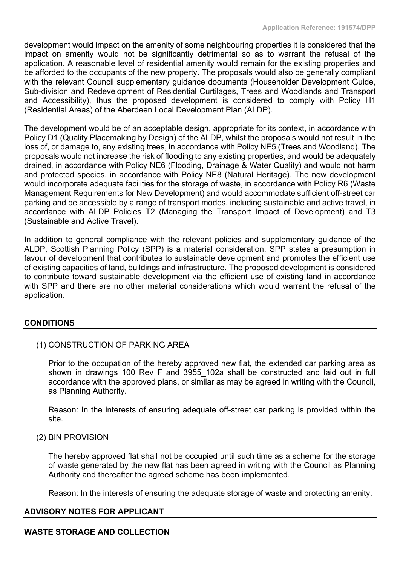development would impact on the amenity of some neighbouring properties it is considered that the impact on amenity would not be significantly detrimental so as to warrant the refusal of the application. A reasonable level of residential amenity would remain for the existing properties and be afforded to the occupants of the new property. The proposals would also be generally compliant with the relevant Council supplementary guidance documents (Householder Development Guide, Sub-division and Redevelopment of Residential Curtilages, Trees and Woodlands and Transport and Accessibility), thus the proposed development is considered to comply with Policy H1 (Residential Areas) of the Aberdeen Local Development Plan (ALDP).

The development would be of an acceptable design, appropriate for its context, in accordance with Policy D1 (Quality Placemaking by Design) of the ALDP, whilst the proposals would not result in the loss of, or damage to, any existing trees, in accordance with Policy NE5 (Trees and Woodland). The proposals would not increase the risk of flooding to any existing properties, and would be adequately drained, in accordance with Policy NE6 (Flooding, Drainage & Water Quality) and would not harm and protected species, in accordance with Policy NE8 (Natural Heritage). The new development would incorporate adequate facilities for the storage of waste, in accordance with Policy R6 (Waste Management Requirements for New Development) and would accommodate sufficient off-street car parking and be accessible by a range of transport modes, including sustainable and active travel, in accordance with ALDP Policies T2 (Managing the Transport Impact of Development) and T3 (Sustainable and Active Travel).

In addition to general compliance with the relevant policies and supplementary guidance of the ALDP, Scottish Planning Policy (SPP) is a material consideration. SPP states a presumption in favour of development that contributes to sustainable development and promotes the efficient use of existing capacities of land, buildings and infrastructure. The proposed development is considered to contribute toward sustainable development via the efficient use of existing land in accordance with SPP and there are no other material considerations which would warrant the refusal of the application.

# **CONDITIONS**

(1) CONSTRUCTION OF PARKING AREA

Prior to the occupation of the hereby approved new flat, the extended car parking area as shown in drawings 100 Rev F and 3955 102a shall be constructed and laid out in full accordance with the approved plans, or similar as may be agreed in writing with the Council, as Planning Authority.

Reason: In the interests of ensuring adequate off-street car parking is provided within the site.

(2) BIN PROVISION

The hereby approved flat shall not be occupied until such time as a scheme for the storage of waste generated by the new flat has been agreed in writing with the Council as Planning Authority and thereafter the agreed scheme has been implemented.

Reason: In the interests of ensuring the adequate storage of waste and protecting amenity.

# **ADVISORY NOTES FOR APPLICANT**

#### **WASTE STORAGE AND COLLECTION**